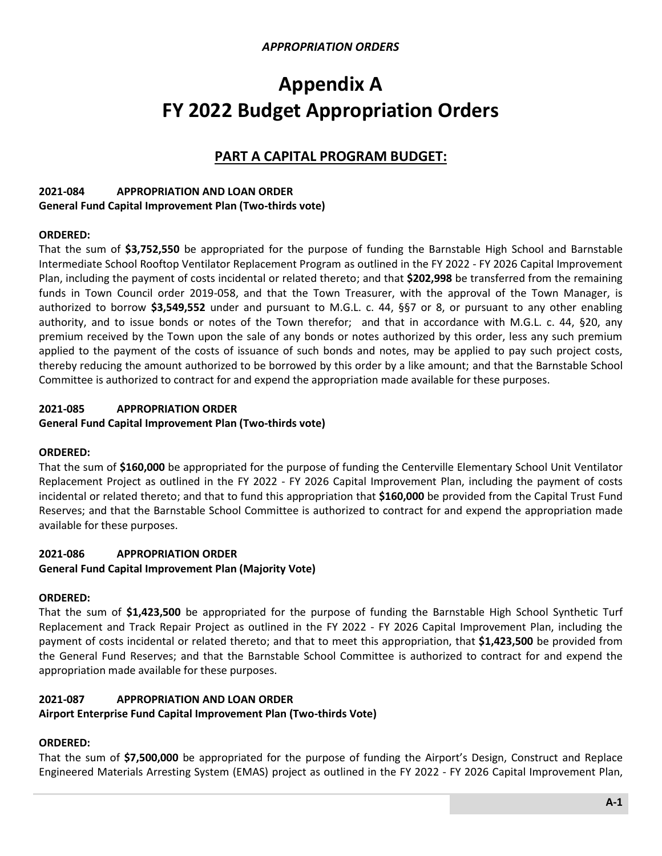# **Appendix A FY 2022 Budget Appropriation Orders**

# **PART A CAPITAL PROGRAM BUDGET:**

#### **2021-084 APPROPRIATION AND LOAN ORDER General Fund Capital Improvement Plan (Two-thirds vote)**

### **ORDERED:**

That the sum of **\$3,752,550** be appropriated for the purpose of funding the Barnstable High School and Barnstable Intermediate School Rooftop Ventilator Replacement Program as outlined in the FY 2022 - FY 2026 Capital Improvement Plan, including the payment of costs incidental or related thereto; and that **\$202,998** be transferred from the remaining funds in Town Council order 2019-058, and that the Town Treasurer, with the approval of the Town Manager, is authorized to borrow **\$3,549,552** under and pursuant to M.G.L. c. 44, §§7 or 8, or pursuant to any other enabling authority, and to issue bonds or notes of the Town therefor; and that in accordance with M.G.L. c. 44, §20, any premium received by the Town upon the sale of any bonds or notes authorized by this order, less any such premium applied to the payment of the costs of issuance of such bonds and notes, may be applied to pay such project costs, thereby reducing the amount authorized to be borrowed by this order by a like amount; and that the Barnstable School Committee is authorized to contract for and expend the appropriation made available for these purposes.

# **2021-085 APPROPRIATION ORDER**

### **General Fund Capital Improvement Plan (Two-thirds vote)**

### **ORDERED:**

That the sum of **\$160,000** be appropriated for the purpose of funding the Centerville Elementary School Unit Ventilator Replacement Project as outlined in the FY 2022 - FY 2026 Capital Improvement Plan, including the payment of costs incidental or related thereto; and that to fund this appropriation that **\$160,000** be provided from the Capital Trust Fund Reserves; and that the Barnstable School Committee is authorized to contract for and expend the appropriation made available for these purposes.

# **2021-086 APPROPRIATION ORDER**

### **General Fund Capital Improvement Plan (Majority Vote)**

### **ORDERED:**

That the sum of **\$1,423,500** be appropriated for the purpose of funding the Barnstable High School Synthetic Turf Replacement and Track Repair Project as outlined in the FY 2022 - FY 2026 Capital Improvement Plan, including the payment of costs incidental or related thereto; and that to meet this appropriation, that **\$1,423,500** be provided from the General Fund Reserves; and that the Barnstable School Committee is authorized to contract for and expend the appropriation made available for these purposes.

# **2021-087 APPROPRIATION AND LOAN ORDER**

### **Airport Enterprise Fund Capital Improvement Plan (Two-thirds Vote)**

# **ORDERED:**

That the sum of **\$7,500,000** be appropriated for the purpose of funding the Airport's Design, Construct and Replace Engineered Materials Arresting System (EMAS) project as outlined in the FY 2022 - FY 2026 Capital Improvement Plan,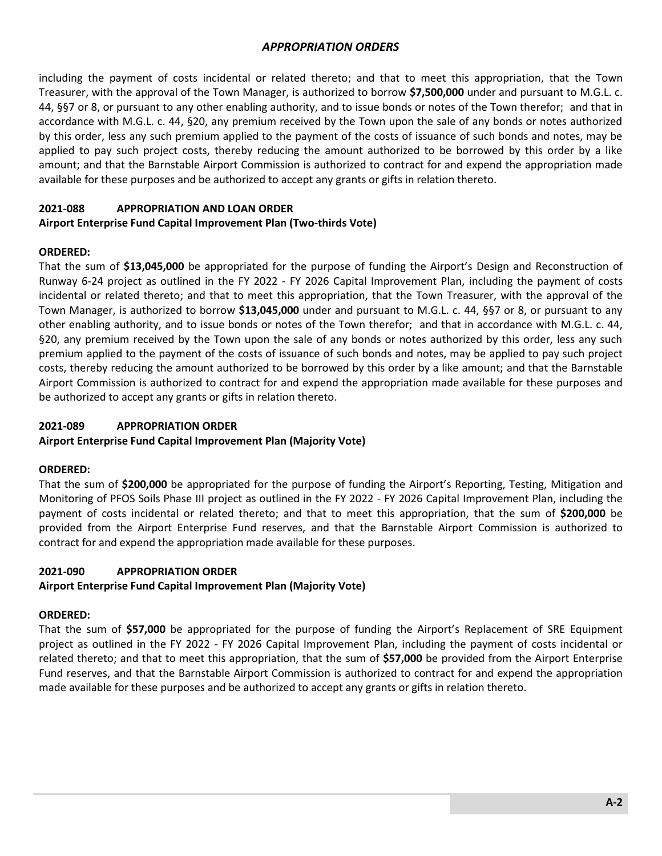including the payment of costs incidental or related thereto; and that to meet this appropriation, that the Town Treasurer, with the approval of the Town Manager, is authorized to borrow **\$7,500,000** under and pursuant to M.G.L. c. 44, §§7 or 8, or pursuant to any other enabling authority, and to issue bonds or notes of the Town therefor; and that in accordance with M.G.L. c. 44, §20, any premium received by the Town upon the sale of any bonds or notes authorized by this order, less any such premium applied to the payment of the costs of issuance of such bonds and notes, may be applied to pay such project costs, thereby reducing the amount authorized to be borrowed by this order by a like amount; and that the Barnstable Airport Commission is authorized to contract for and expend the appropriation made available for these purposes and be authorized to accept any grants or gifts in relation thereto.

### **2021-088 APPROPRIATION AND LOAN ORDER**

### **Airport Enterprise Fund Capital Improvement Plan (Two-thirds Vote)**

### **ORDERED:**

That the sum of **\$13,045,000** be appropriated for the purpose of funding the Airport's Design and Reconstruction of Runway 6-24 project as outlined in the FY 2022 - FY 2026 Capital Improvement Plan, including the payment of costs incidental or related thereto; and that to meet this appropriation, that the Town Treasurer, with the approval of the Town Manager, is authorized to borrow **\$13,045,000** under and pursuant to M.G.L. c. 44, §§7 or 8, or pursuant to any other enabling authority, and to issue bonds or notes of the Town therefor; and that in accordance with M.G.L. c. 44, §20, any premium received by the Town upon the sale of any bonds or notes authorized by this order, less any such premium applied to the payment of the costs of issuance of such bonds and notes, may be applied to pay such project costs, thereby reducing the amount authorized to be borrowed by this order by a like amount; and that the Barnstable Airport Commission is authorized to contract for and expend the appropriation made available for these purposes and be authorized to accept any grants or gifts in relation thereto.

### **2021-089 APPROPRIATION ORDER**

### **Airport Enterprise Fund Capital Improvement Plan (Majority Vote)**

### **ORDERED:**

That the sum of **\$200,000** be appropriated for the purpose of funding the Airport's Reporting, Testing, Mitigation and Monitoring of PFOS Soils Phase III project as outlined in the FY 2022 - FY 2026 Capital Improvement Plan, including the payment of costs incidental or related thereto; and that to meet this appropriation, that the sum of **\$200,000** be provided from the Airport Enterprise Fund reserves, and that the Barnstable Airport Commission is authorized to contract for and expend the appropriation made available for these purposes.

# **2021-090 APPROPRIATION ORDER**

# **Airport Enterprise Fund Capital Improvement Plan (Majority Vote)**

### **ORDERED:**

That the sum of **\$57,000** be appropriated for the purpose of funding the Airport's Replacement of SRE Equipment project as outlined in the FY 2022 - FY 2026 Capital Improvement Plan, including the payment of costs incidental or related thereto; and that to meet this appropriation, that the sum of **\$57,000** be provided from the Airport Enterprise Fund reserves, and that the Barnstable Airport Commission is authorized to contract for and expend the appropriation made available for these purposes and be authorized to accept any grants or gifts in relation thereto.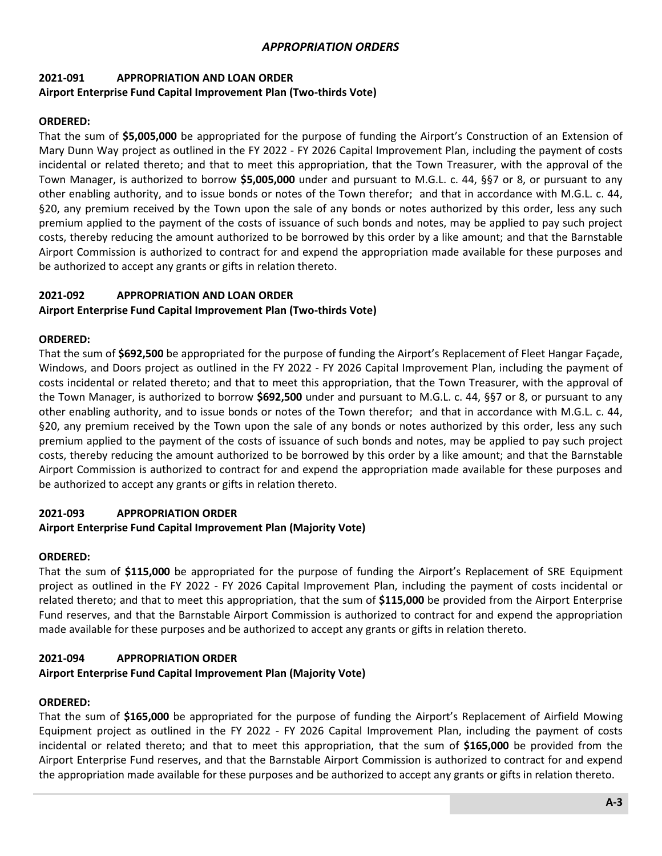# **2021-091 APPROPRIATION AND LOAN ORDER Airport Enterprise Fund Capital Improvement Plan (Two-thirds Vote)**

# **ORDERED:**

That the sum of **\$5,005,000** be appropriated for the purpose of funding the Airport's Construction of an Extension of Mary Dunn Way project as outlined in the FY 2022 - FY 2026 Capital Improvement Plan, including the payment of costs incidental or related thereto; and that to meet this appropriation, that the Town Treasurer, with the approval of the Town Manager, is authorized to borrow **\$5,005,000** under and pursuant to M.G.L. c. 44, §§7 or 8, or pursuant to any other enabling authority, and to issue bonds or notes of the Town therefor; and that in accordance with M.G.L. c. 44, §20, any premium received by the Town upon the sale of any bonds or notes authorized by this order, less any such premium applied to the payment of the costs of issuance of such bonds and notes, may be applied to pay such project costs, thereby reducing the amount authorized to be borrowed by this order by a like amount; and that the Barnstable Airport Commission is authorized to contract for and expend the appropriation made available for these purposes and be authorized to accept any grants or gifts in relation thereto.

### **2021-092 APPROPRIATION AND LOAN ORDER**

### **Airport Enterprise Fund Capital Improvement Plan (Two-thirds Vote)**

### **ORDERED:**

That the sum of **\$692,500** be appropriated for the purpose of funding the Airport's Replacement of Fleet Hangar Façade, Windows, and Doors project as outlined in the FY 2022 - FY 2026 Capital Improvement Plan, including the payment of costs incidental or related thereto; and that to meet this appropriation, that the Town Treasurer, with the approval of the Town Manager, is authorized to borrow **\$692,500** under and pursuant to M.G.L. c. 44, §§7 or 8, or pursuant to any other enabling authority, and to issue bonds or notes of the Town therefor; and that in accordance with M.G.L. c. 44, §20, any premium received by the Town upon the sale of any bonds or notes authorized by this order, less any such premium applied to the payment of the costs of issuance of such bonds and notes, may be applied to pay such project costs, thereby reducing the amount authorized to be borrowed by this order by a like amount; and that the Barnstable Airport Commission is authorized to contract for and expend the appropriation made available for these purposes and be authorized to accept any grants or gifts in relation thereto.

# **2021-093 APPROPRIATION ORDER**

### **Airport Enterprise Fund Capital Improvement Plan (Majority Vote)**

### **ORDERED:**

That the sum of **\$115,000** be appropriated for the purpose of funding the Airport's Replacement of SRE Equipment project as outlined in the FY 2022 - FY 2026 Capital Improvement Plan, including the payment of costs incidental or related thereto; and that to meet this appropriation, that the sum of **\$115,000** be provided from the Airport Enterprise Fund reserves, and that the Barnstable Airport Commission is authorized to contract for and expend the appropriation made available for these purposes and be authorized to accept any grants or gifts in relation thereto.

### **2021-094 APPROPRIATION ORDER**

# **Airport Enterprise Fund Capital Improvement Plan (Majority Vote)**

### **ORDERED:**

That the sum of **\$165,000** be appropriated for the purpose of funding the Airport's Replacement of Airfield Mowing Equipment project as outlined in the FY 2022 - FY 2026 Capital Improvement Plan, including the payment of costs incidental or related thereto; and that to meet this appropriation, that the sum of **\$165,000** be provided from the Airport Enterprise Fund reserves, and that the Barnstable Airport Commission is authorized to contract for and expend the appropriation made available for these purposes and be authorized to accept any grants or gifts in relation thereto.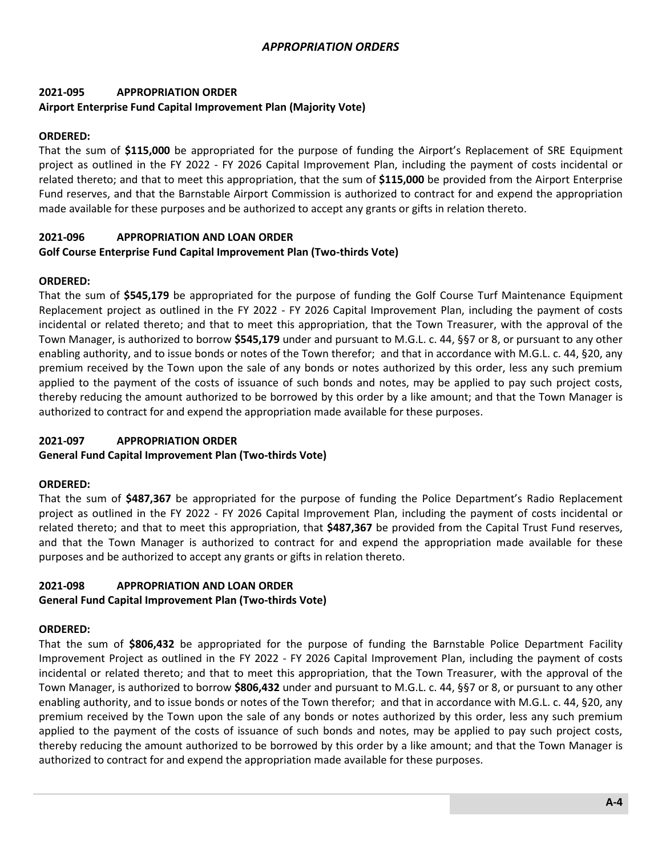# **2021-095 APPROPRIATION ORDER Airport Enterprise Fund Capital Improvement Plan (Majority Vote)**

### **ORDERED:**

That the sum of **\$115,000** be appropriated for the purpose of funding the Airport's Replacement of SRE Equipment project as outlined in the FY 2022 - FY 2026 Capital Improvement Plan, including the payment of costs incidental or related thereto; and that to meet this appropriation, that the sum of **\$115,000** be provided from the Airport Enterprise Fund reserves, and that the Barnstable Airport Commission is authorized to contract for and expend the appropriation made available for these purposes and be authorized to accept any grants or gifts in relation thereto.

# **2021-096 APPROPRIATION AND LOAN ORDER Golf Course Enterprise Fund Capital Improvement Plan (Two-thirds Vote)**

### **ORDERED:**

That the sum of **\$545,179** be appropriated for the purpose of funding the Golf Course Turf Maintenance Equipment Replacement project as outlined in the FY 2022 - FY 2026 Capital Improvement Plan, including the payment of costs incidental or related thereto; and that to meet this appropriation, that the Town Treasurer, with the approval of the Town Manager, is authorized to borrow **\$545,179** under and pursuant to M.G.L. c. 44, §§7 or 8, or pursuant to any other enabling authority, and to issue bonds or notes of the Town therefor; and that in accordance with M.G.L. c. 44, §20, any premium received by the Town upon the sale of any bonds or notes authorized by this order, less any such premium applied to the payment of the costs of issuance of such bonds and notes, may be applied to pay such project costs, thereby reducing the amount authorized to be borrowed by this order by a like amount; and that the Town Manager is authorized to contract for and expend the appropriation made available for these purposes.

### **2021-097 APPROPRIATION ORDER**

#### **General Fund Capital Improvement Plan (Two-thirds Vote)**

### **ORDERED:**

That the sum of **\$487,367** be appropriated for the purpose of funding the Police Department's Radio Replacement project as outlined in the FY 2022 - FY 2026 Capital Improvement Plan, including the payment of costs incidental or related thereto; and that to meet this appropriation, that **\$487,367** be provided from the Capital Trust Fund reserves, and that the Town Manager is authorized to contract for and expend the appropriation made available for these purposes and be authorized to accept any grants or gifts in relation thereto.

### **2021-098 APPROPRIATION AND LOAN ORDER**

#### **General Fund Capital Improvement Plan (Two-thirds Vote)**

### **ORDERED:**

That the sum of **\$806,432** be appropriated for the purpose of funding the Barnstable Police Department Facility Improvement Project as outlined in the FY 2022 - FY 2026 Capital Improvement Plan, including the payment of costs incidental or related thereto; and that to meet this appropriation, that the Town Treasurer, with the approval of the Town Manager, is authorized to borrow **\$806,432** under and pursuant to M.G.L. c. 44, §§7 or 8, or pursuant to any other enabling authority, and to issue bonds or notes of the Town therefor; and that in accordance with M.G.L. c. 44, §20, any premium received by the Town upon the sale of any bonds or notes authorized by this order, less any such premium applied to the payment of the costs of issuance of such bonds and notes, may be applied to pay such project costs, thereby reducing the amount authorized to be borrowed by this order by a like amount; and that the Town Manager is authorized to contract for and expend the appropriation made available for these purposes.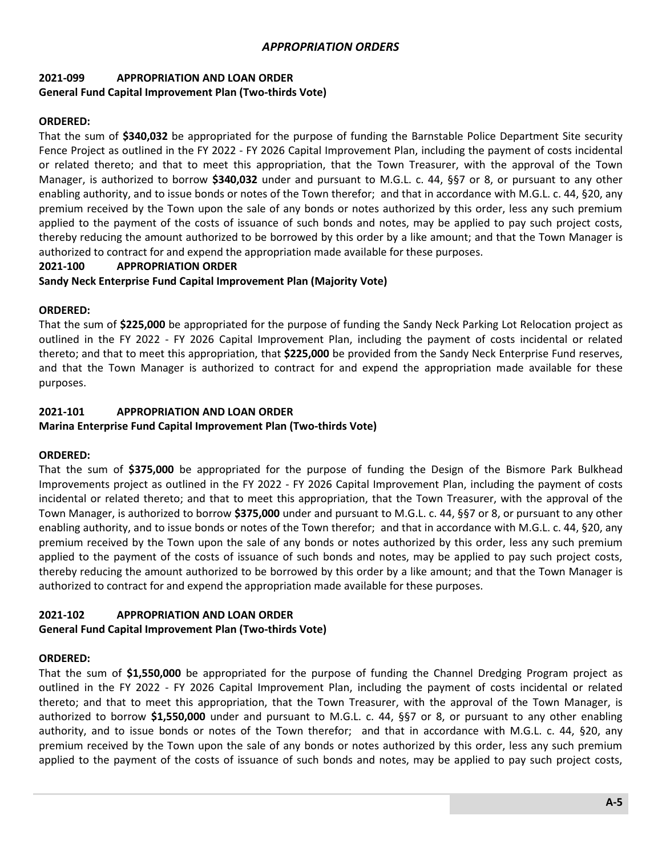# **2021-099 APPROPRIATION AND LOAN ORDER General Fund Capital Improvement Plan (Two-thirds Vote)**

### **ORDERED:**

That the sum of **\$340,032** be appropriated for the purpose of funding the Barnstable Police Department Site security Fence Project as outlined in the FY 2022 - FY 2026 Capital Improvement Plan, including the payment of costs incidental or related thereto; and that to meet this appropriation, that the Town Treasurer, with the approval of the Town Manager, is authorized to borrow **\$340,032** under and pursuant to M.G.L. c. 44, §§7 or 8, or pursuant to any other enabling authority, and to issue bonds or notes of the Town therefor; and that in accordance with M.G.L. c. 44, §20, any premium received by the Town upon the sale of any bonds or notes authorized by this order, less any such premium applied to the payment of the costs of issuance of such bonds and notes, may be applied to pay such project costs, thereby reducing the amount authorized to be borrowed by this order by a like amount; and that the Town Manager is authorized to contract for and expend the appropriation made available for these purposes.

### **2021-100 APPROPRIATION ORDER**

### **Sandy Neck Enterprise Fund Capital Improvement Plan (Majority Vote)**

### **ORDERED:**

That the sum of **\$225,000** be appropriated for the purpose of funding the Sandy Neck Parking Lot Relocation project as outlined in the FY 2022 - FY 2026 Capital Improvement Plan, including the payment of costs incidental or related thereto; and that to meet this appropriation, that **\$225,000** be provided from the Sandy Neck Enterprise Fund reserves, and that the Town Manager is authorized to contract for and expend the appropriation made available for these purposes.

### **2021-101 APPROPRIATION AND LOAN ORDER**

#### **Marina Enterprise Fund Capital Improvement Plan (Two-thirds Vote)**

### **ORDERED:**

That the sum of **\$375,000** be appropriated for the purpose of funding the Design of the Bismore Park Bulkhead Improvements project as outlined in the FY 2022 - FY 2026 Capital Improvement Plan, including the payment of costs incidental or related thereto; and that to meet this appropriation, that the Town Treasurer, with the approval of the Town Manager, is authorized to borrow **\$375,000** under and pursuant to M.G.L. c. 44, §§7 or 8, or pursuant to any other enabling authority, and to issue bonds or notes of the Town therefor; and that in accordance with M.G.L. c. 44, §20, any premium received by the Town upon the sale of any bonds or notes authorized by this order, less any such premium applied to the payment of the costs of issuance of such bonds and notes, may be applied to pay such project costs, thereby reducing the amount authorized to be borrowed by this order by a like amount; and that the Town Manager is authorized to contract for and expend the appropriation made available for these purposes.

# **2021-102 APPROPRIATION AND LOAN ORDER**

### **General Fund Capital Improvement Plan (Two-thirds Vote)**

### **ORDERED:**

That the sum of **\$1,550,000** be appropriated for the purpose of funding the Channel Dredging Program project as outlined in the FY 2022 - FY 2026 Capital Improvement Plan, including the payment of costs incidental or related thereto; and that to meet this appropriation, that the Town Treasurer, with the approval of the Town Manager, is authorized to borrow **\$1,550,000** under and pursuant to M.G.L. c. 44, §§7 or 8, or pursuant to any other enabling authority, and to issue bonds or notes of the Town therefor; and that in accordance with M.G.L. c. 44, §20, any premium received by the Town upon the sale of any bonds or notes authorized by this order, less any such premium applied to the payment of the costs of issuance of such bonds and notes, may be applied to pay such project costs,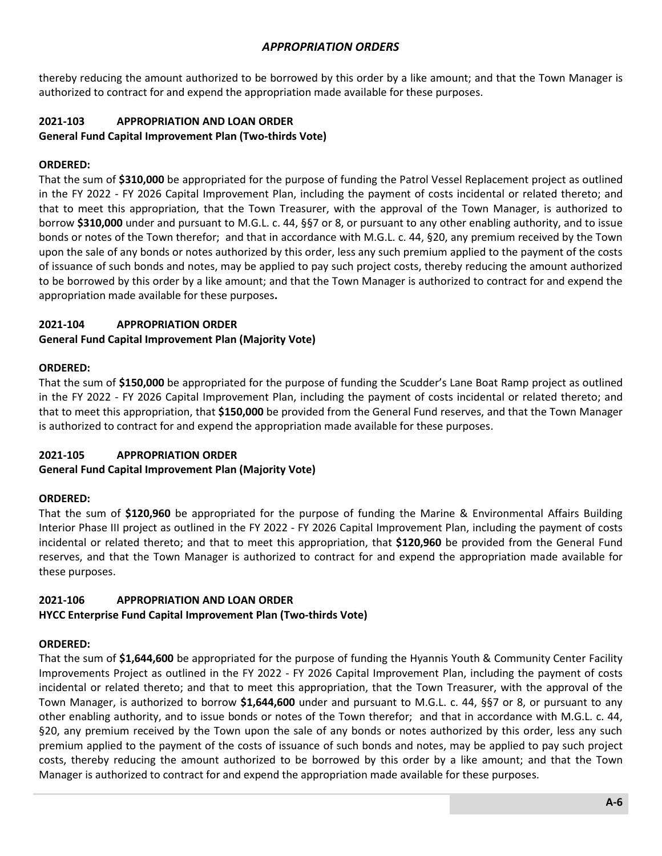thereby reducing the amount authorized to be borrowed by this order by a like amount; and that the Town Manager is authorized to contract for and expend the appropriation made available for these purposes.

# **2021-103 APPROPRIATION AND LOAN ORDER**

# **General Fund Capital Improvement Plan (Two-thirds Vote)**

# **ORDERED:**

That the sum of **\$310,000** be appropriated for the purpose of funding the Patrol Vessel Replacement project as outlined in the FY 2022 - FY 2026 Capital Improvement Plan, including the payment of costs incidental or related thereto; and that to meet this appropriation, that the Town Treasurer, with the approval of the Town Manager, is authorized to borrow **\$310,000** under and pursuant to M.G.L. c. 44, §§7 or 8, or pursuant to any other enabling authority, and to issue bonds or notes of the Town therefor; and that in accordance with M.G.L. c. 44, §20, any premium received by the Town upon the sale of any bonds or notes authorized by this order, less any such premium applied to the payment of the costs of issuance of such bonds and notes, may be applied to pay such project costs, thereby reducing the amount authorized to be borrowed by this order by a like amount; and that the Town Manager is authorized to contract for and expend the appropriation made available for these purposes**.**

# **2021-104 APPROPRIATION ORDER**

# **General Fund Capital Improvement Plan (Majority Vote)**

# **ORDERED:**

That the sum of **\$150,000** be appropriated for the purpose of funding the Scudder's Lane Boat Ramp project as outlined in the FY 2022 - FY 2026 Capital Improvement Plan, including the payment of costs incidental or related thereto; and that to meet this appropriation, that **\$150,000** be provided from the General Fund reserves, and that the Town Manager is authorized to contract for and expend the appropriation made available for these purposes.

# **2021-105 APPROPRIATION ORDER**

# **General Fund Capital Improvement Plan (Majority Vote)**

# **ORDERED:**

That the sum of **\$120,960** be appropriated for the purpose of funding the Marine & Environmental Affairs Building Interior Phase III project as outlined in the FY 2022 - FY 2026 Capital Improvement Plan, including the payment of costs incidental or related thereto; and that to meet this appropriation, that **\$120,960** be provided from the General Fund reserves, and that the Town Manager is authorized to contract for and expend the appropriation made available for these purposes.

# **2021-106 APPROPRIATION AND LOAN ORDER HYCC Enterprise Fund Capital Improvement Plan (Two-thirds Vote)**

# **ORDERED:**

That the sum of **\$1,644,600** be appropriated for the purpose of funding the Hyannis Youth & Community Center Facility Improvements Project as outlined in the FY 2022 - FY 2026 Capital Improvement Plan, including the payment of costs incidental or related thereto; and that to meet this appropriation, that the Town Treasurer, with the approval of the Town Manager, is authorized to borrow **\$1,644,600** under and pursuant to M.G.L. c. 44, §§7 or 8, or pursuant to any other enabling authority, and to issue bonds or notes of the Town therefor; and that in accordance with M.G.L. c. 44, §20, any premium received by the Town upon the sale of any bonds or notes authorized by this order, less any such premium applied to the payment of the costs of issuance of such bonds and notes, may be applied to pay such project costs, thereby reducing the amount authorized to be borrowed by this order by a like amount; and that the Town Manager is authorized to contract for and expend the appropriation made available for these purposes.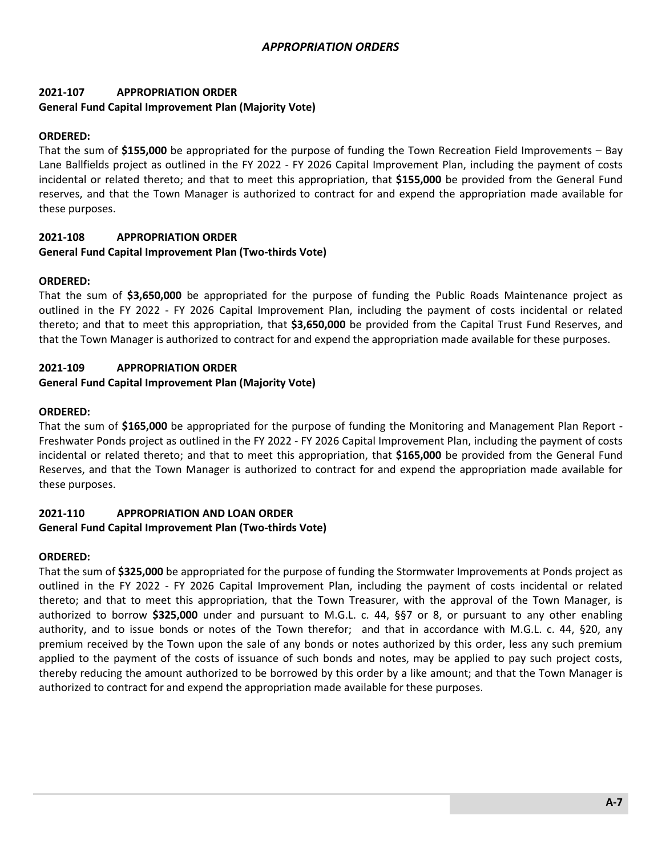# **2021-107 APPROPRIATION ORDER General Fund Capital Improvement Plan (Majority Vote)**

### **ORDERED:**

That the sum of **\$155,000** be appropriated for the purpose of funding the Town Recreation Field Improvements – Bay Lane Ballfields project as outlined in the FY 2022 - FY 2026 Capital Improvement Plan, including the payment of costs incidental or related thereto; and that to meet this appropriation, that **\$155,000** be provided from the General Fund reserves, and that the Town Manager is authorized to contract for and expend the appropriation made available for these purposes.

# **2021-108 APPROPRIATION ORDER General Fund Capital Improvement Plan (Two-thirds Vote)**

### **ORDERED:**

That the sum of **\$3,650,000** be appropriated for the purpose of funding the Public Roads Maintenance project as outlined in the FY 2022 - FY 2026 Capital Improvement Plan, including the payment of costs incidental or related thereto; and that to meet this appropriation, that **\$3,650,000** be provided from the Capital Trust Fund Reserves, and that the Town Manager is authorized to contract for and expend the appropriation made available for these purposes.

### **2021-109 APPROPRIATION ORDER**

### **General Fund Capital Improvement Plan (Majority Vote)**

### **ORDERED:**

That the sum of **\$165,000** be appropriated for the purpose of funding the Monitoring and Management Plan Report - Freshwater Ponds project as outlined in the FY 2022 - FY 2026 Capital Improvement Plan, including the payment of costs incidental or related thereto; and that to meet this appropriation, that **\$165,000** be provided from the General Fund Reserves, and that the Town Manager is authorized to contract for and expend the appropriation made available for these purposes.

# **2021-110 APPROPRIATION AND LOAN ORDER**

### **General Fund Capital Improvement Plan (Two-thirds Vote)**

### **ORDERED:**

That the sum of **\$325,000** be appropriated for the purpose of funding the Stormwater Improvements at Ponds project as outlined in the FY 2022 - FY 2026 Capital Improvement Plan, including the payment of costs incidental or related thereto; and that to meet this appropriation, that the Town Treasurer, with the approval of the Town Manager, is authorized to borrow **\$325,000** under and pursuant to M.G.L. c. 44, §§7 or 8, or pursuant to any other enabling authority, and to issue bonds or notes of the Town therefor; and that in accordance with M.G.L. c. 44, §20, any premium received by the Town upon the sale of any bonds or notes authorized by this order, less any such premium applied to the payment of the costs of issuance of such bonds and notes, may be applied to pay such project costs, thereby reducing the amount authorized to be borrowed by this order by a like amount; and that the Town Manager is authorized to contract for and expend the appropriation made available for these purposes.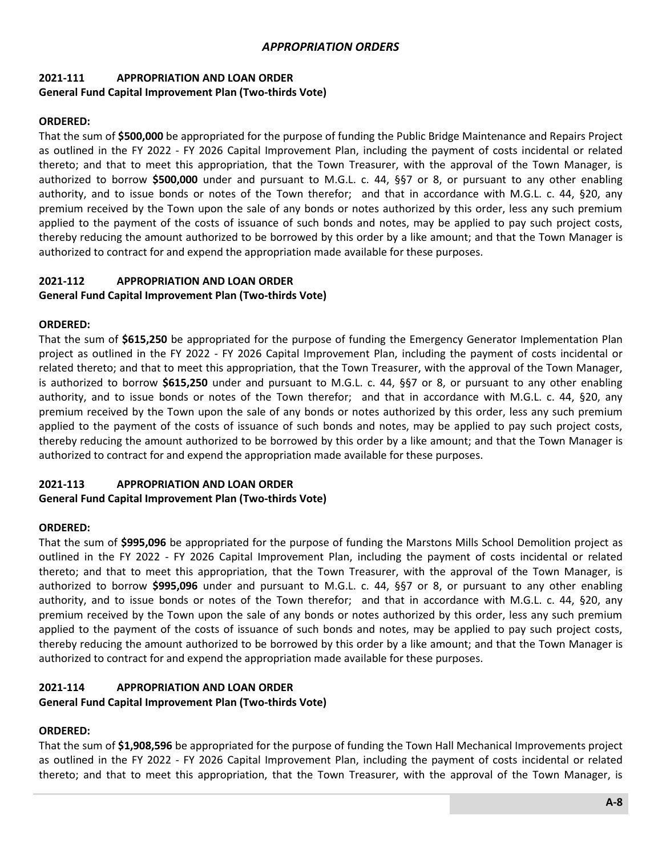# **2021-111 APPROPRIATION AND LOAN ORDER General Fund Capital Improvement Plan (Two-thirds Vote)**

### **ORDERED:**

That the sum of **\$500,000** be appropriated for the purpose of funding the Public Bridge Maintenance and Repairs Project as outlined in the FY 2022 - FY 2026 Capital Improvement Plan, including the payment of costs incidental or related thereto; and that to meet this appropriation, that the Town Treasurer, with the approval of the Town Manager, is authorized to borrow **\$500,000** under and pursuant to M.G.L. c. 44, §§7 or 8, or pursuant to any other enabling authority, and to issue bonds or notes of the Town therefor; and that in accordance with M.G.L. c. 44, §20, any premium received by the Town upon the sale of any bonds or notes authorized by this order, less any such premium applied to the payment of the costs of issuance of such bonds and notes, may be applied to pay such project costs, thereby reducing the amount authorized to be borrowed by this order by a like amount; and that the Town Manager is authorized to contract for and expend the appropriation made available for these purposes.

# **2021-112 APPROPRIATION AND LOAN ORDER**

### **General Fund Capital Improvement Plan (Two-thirds Vote)**

### **ORDERED:**

That the sum of **\$615,250** be appropriated for the purpose of funding the Emergency Generator Implementation Plan project as outlined in the FY 2022 - FY 2026 Capital Improvement Plan, including the payment of costs incidental or related thereto; and that to meet this appropriation, that the Town Treasurer, with the approval of the Town Manager, is authorized to borrow **\$615,250** under and pursuant to M.G.L. c. 44, §§7 or 8, or pursuant to any other enabling authority, and to issue bonds or notes of the Town therefor; and that in accordance with M.G.L. c. 44, §20, any premium received by the Town upon the sale of any bonds or notes authorized by this order, less any such premium applied to the payment of the costs of issuance of such bonds and notes, may be applied to pay such project costs, thereby reducing the amount authorized to be borrowed by this order by a like amount; and that the Town Manager is authorized to contract for and expend the appropriation made available for these purposes.

# **2021-113 APPROPRIATION AND LOAN ORDER**

### **General Fund Capital Improvement Plan (Two-thirds Vote)**

### **ORDERED:**

That the sum of **\$995,096** be appropriated for the purpose of funding the Marstons Mills School Demolition project as outlined in the FY 2022 - FY 2026 Capital Improvement Plan, including the payment of costs incidental or related thereto; and that to meet this appropriation, that the Town Treasurer, with the approval of the Town Manager, is authorized to borrow **\$995,096** under and pursuant to M.G.L. c. 44, §§7 or 8, or pursuant to any other enabling authority, and to issue bonds or notes of the Town therefor; and that in accordance with M.G.L. c. 44, §20, any premium received by the Town upon the sale of any bonds or notes authorized by this order, less any such premium applied to the payment of the costs of issuance of such bonds and notes, may be applied to pay such project costs, thereby reducing the amount authorized to be borrowed by this order by a like amount; and that the Town Manager is authorized to contract for and expend the appropriation made available for these purposes.

# **2021-114 APPROPRIATION AND LOAN ORDER**

### **General Fund Capital Improvement Plan (Two-thirds Vote)**

### **ORDERED:**

That the sum of **\$1,908,596** be appropriated for the purpose of funding the Town Hall Mechanical Improvements project as outlined in the FY 2022 - FY 2026 Capital Improvement Plan, including the payment of costs incidental or related thereto; and that to meet this appropriation, that the Town Treasurer, with the approval of the Town Manager, is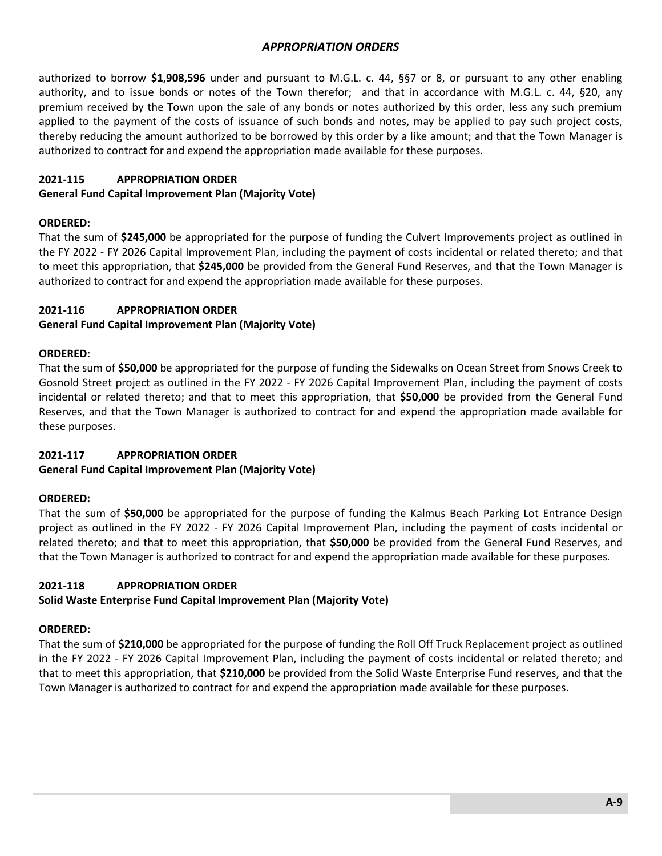authorized to borrow **\$1,908,596** under and pursuant to M.G.L. c. 44, §§7 or 8, or pursuant to any other enabling authority, and to issue bonds or notes of the Town therefor; and that in accordance with M.G.L. c. 44, §20, any premium received by the Town upon the sale of any bonds or notes authorized by this order, less any such premium applied to the payment of the costs of issuance of such bonds and notes, may be applied to pay such project costs, thereby reducing the amount authorized to be borrowed by this order by a like amount; and that the Town Manager is authorized to contract for and expend the appropriation made available for these purposes.

### **2021-115 APPROPRIATION ORDER**

### **General Fund Capital Improvement Plan (Majority Vote)**

### **ORDERED:**

That the sum of **\$245,000** be appropriated for the purpose of funding the Culvert Improvements project as outlined in the FY 2022 - FY 2026 Capital Improvement Plan, including the payment of costs incidental or related thereto; and that to meet this appropriation, that **\$245,000** be provided from the General Fund Reserves, and that the Town Manager is authorized to contract for and expend the appropriation made available for these purposes.

### **2021-116 APPROPRIATION ORDER**

### **General Fund Capital Improvement Plan (Majority Vote)**

### **ORDERED:**

That the sum of **\$50,000** be appropriated for the purpose of funding the Sidewalks on Ocean Street from Snows Creek to Gosnold Street project as outlined in the FY 2022 - FY 2026 Capital Improvement Plan, including the payment of costs incidental or related thereto; and that to meet this appropriation, that **\$50,000** be provided from the General Fund Reserves, and that the Town Manager is authorized to contract for and expend the appropriation made available for these purposes.

### **2021-117 APPROPRIATION ORDER**

### **General Fund Capital Improvement Plan (Majority Vote)**

# **ORDERED:**

That the sum of **\$50,000** be appropriated for the purpose of funding the Kalmus Beach Parking Lot Entrance Design project as outlined in the FY 2022 - FY 2026 Capital Improvement Plan, including the payment of costs incidental or related thereto; and that to meet this appropriation, that **\$50,000** be provided from the General Fund Reserves, and that the Town Manager is authorized to contract for and expend the appropriation made available for these purposes.

# **2021-118 APPROPRIATION ORDER**

# **Solid Waste Enterprise Fund Capital Improvement Plan (Majority Vote)**

### **ORDERED:**

That the sum of **\$210,000** be appropriated for the purpose of funding the Roll Off Truck Replacement project as outlined in the FY 2022 - FY 2026 Capital Improvement Plan, including the payment of costs incidental or related thereto; and that to meet this appropriation, that **\$210,000** be provided from the Solid Waste Enterprise Fund reserves, and that the Town Manager is authorized to contract for and expend the appropriation made available for these purposes.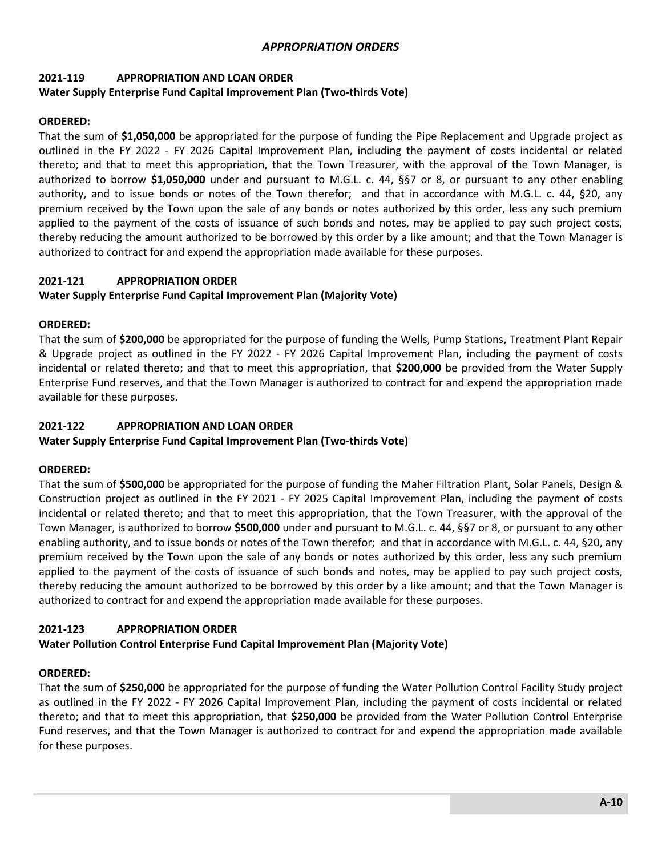#### **2021-119 APPROPRIATION AND LOAN ORDER Water Supply Enterprise Fund Capital Improvement Plan (Two-thirds Vote)**

# **ORDERED:**

That the sum of **\$1,050,000** be appropriated for the purpose of funding the Pipe Replacement and Upgrade project as outlined in the FY 2022 - FY 2026 Capital Improvement Plan, including the payment of costs incidental or related thereto; and that to meet this appropriation, that the Town Treasurer, with the approval of the Town Manager, is authorized to borrow **\$1,050,000** under and pursuant to M.G.L. c. 44, §§7 or 8, or pursuant to any other enabling authority, and to issue bonds or notes of the Town therefor; and that in accordance with M.G.L. c. 44, §20, any premium received by the Town upon the sale of any bonds or notes authorized by this order, less any such premium applied to the payment of the costs of issuance of such bonds and notes, may be applied to pay such project costs, thereby reducing the amount authorized to be borrowed by this order by a like amount; and that the Town Manager is authorized to contract for and expend the appropriation made available for these purposes.

# **2021-121 APPROPRIATION ORDER**

# **Water Supply Enterprise Fund Capital Improvement Plan (Majority Vote)**

# **ORDERED:**

That the sum of **\$200,000** be appropriated for the purpose of funding the Wells, Pump Stations, Treatment Plant Repair & Upgrade project as outlined in the FY 2022 - FY 2026 Capital Improvement Plan, including the payment of costs incidental or related thereto; and that to meet this appropriation, that **\$200,000** be provided from the Water Supply Enterprise Fund reserves, and that the Town Manager is authorized to contract for and expend the appropriation made available for these purposes.

# **2021-122 APPROPRIATION AND LOAN ORDER**

# **Water Supply Enterprise Fund Capital Improvement Plan (Two-thirds Vote)**

# **ORDERED:**

That the sum of **\$500,000** be appropriated for the purpose of funding the Maher Filtration Plant, Solar Panels, Design & Construction project as outlined in the FY 2021 - FY 2025 Capital Improvement Plan, including the payment of costs incidental or related thereto; and that to meet this appropriation, that the Town Treasurer, with the approval of the Town Manager, is authorized to borrow **\$500,000** under and pursuant to M.G.L. c. 44, §§7 or 8, or pursuant to any other enabling authority, and to issue bonds or notes of the Town therefor; and that in accordance with M.G.L. c. 44, §20, any premium received by the Town upon the sale of any bonds or notes authorized by this order, less any such premium applied to the payment of the costs of issuance of such bonds and notes, may be applied to pay such project costs, thereby reducing the amount authorized to be borrowed by this order by a like amount; and that the Town Manager is authorized to contract for and expend the appropriation made available for these purposes.

# **2021-123 APPROPRIATION ORDER**

# **Water Pollution Control Enterprise Fund Capital Improvement Plan (Majority Vote)**

# **ORDERED:**

That the sum of **\$250,000** be appropriated for the purpose of funding the Water Pollution Control Facility Study project as outlined in the FY 2022 - FY 2026 Capital Improvement Plan, including the payment of costs incidental or related thereto; and that to meet this appropriation, that **\$250,000** be provided from the Water Pollution Control Enterprise Fund reserves, and that the Town Manager is authorized to contract for and expend the appropriation made available for these purposes.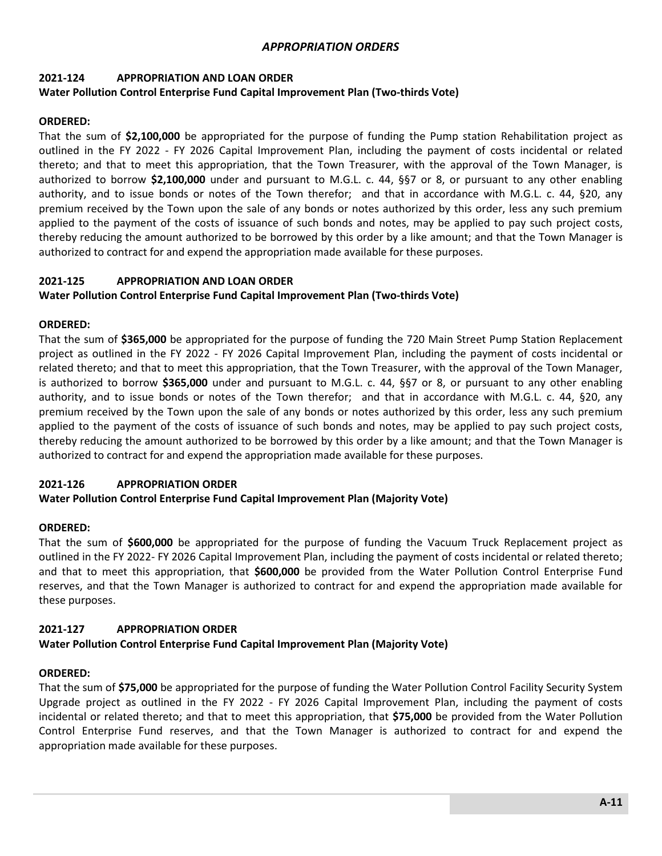### **2021-124 APPROPRIATION AND LOAN ORDER**

### **Water Pollution Control Enterprise Fund Capital Improvement Plan (Two-thirds Vote)**

### **ORDERED:**

That the sum of **\$2,100,000** be appropriated for the purpose of funding the Pump station Rehabilitation project as outlined in the FY 2022 - FY 2026 Capital Improvement Plan, including the payment of costs incidental or related thereto; and that to meet this appropriation, that the Town Treasurer, with the approval of the Town Manager, is authorized to borrow **\$2,100,000** under and pursuant to M.G.L. c. 44, §§7 or 8, or pursuant to any other enabling authority, and to issue bonds or notes of the Town therefor; and that in accordance with M.G.L. c. 44, §20, any premium received by the Town upon the sale of any bonds or notes authorized by this order, less any such premium applied to the payment of the costs of issuance of such bonds and notes, may be applied to pay such project costs, thereby reducing the amount authorized to be borrowed by this order by a like amount; and that the Town Manager is authorized to contract for and expend the appropriation made available for these purposes.

### **2021-125 APPROPRIATION AND LOAN ORDER**

### **Water Pollution Control Enterprise Fund Capital Improvement Plan (Two-thirds Vote)**

### **ORDERED:**

That the sum of **\$365,000** be appropriated for the purpose of funding the 720 Main Street Pump Station Replacement project as outlined in the FY 2022 - FY 2026 Capital Improvement Plan, including the payment of costs incidental or related thereto; and that to meet this appropriation, that the Town Treasurer, with the approval of the Town Manager, is authorized to borrow **\$365,000** under and pursuant to M.G.L. c. 44, §§7 or 8, or pursuant to any other enabling authority, and to issue bonds or notes of the Town therefor; and that in accordance with M.G.L. c. 44, §20, any premium received by the Town upon the sale of any bonds or notes authorized by this order, less any such premium applied to the payment of the costs of issuance of such bonds and notes, may be applied to pay such project costs, thereby reducing the amount authorized to be borrowed by this order by a like amount; and that the Town Manager is authorized to contract for and expend the appropriation made available for these purposes.

# **2021-126 APPROPRIATION ORDER**

### **Water Pollution Control Enterprise Fund Capital Improvement Plan (Majority Vote)**

### **ORDERED:**

That the sum of **\$600,000** be appropriated for the purpose of funding the Vacuum Truck Replacement project as outlined in the FY 2022- FY 2026 Capital Improvement Plan, including the payment of costs incidental or related thereto; and that to meet this appropriation, that **\$600,000** be provided from the Water Pollution Control Enterprise Fund reserves, and that the Town Manager is authorized to contract for and expend the appropriation made available for these purposes.

### **2021-127 APPROPRIATION ORDER**

# **Water Pollution Control Enterprise Fund Capital Improvement Plan (Majority Vote)**

### **ORDERED:**

That the sum of **\$75,000** be appropriated for the purpose of funding the Water Pollution Control Facility Security System Upgrade project as outlined in the FY 2022 - FY 2026 Capital Improvement Plan, including the payment of costs incidental or related thereto; and that to meet this appropriation, that **\$75,000** be provided from the Water Pollution Control Enterprise Fund reserves, and that the Town Manager is authorized to contract for and expend the appropriation made available for these purposes.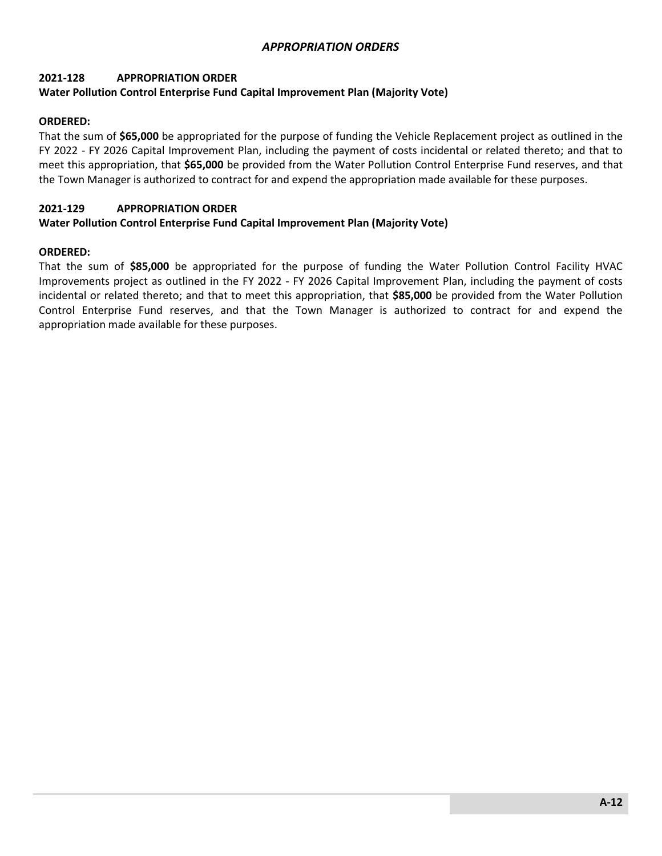# **2021-128 APPROPRIATION ORDER**

### **Water Pollution Control Enterprise Fund Capital Improvement Plan (Majority Vote)**

#### **ORDERED:**

That the sum of **\$65,000** be appropriated for the purpose of funding the Vehicle Replacement project as outlined in the FY 2022 - FY 2026 Capital Improvement Plan, including the payment of costs incidental or related thereto; and that to meet this appropriation, that **\$65,000** be provided from the Water Pollution Control Enterprise Fund reserves, and that the Town Manager is authorized to contract for and expend the appropriation made available for these purposes.

#### **2021-129 APPROPRIATION ORDER**

#### **Water Pollution Control Enterprise Fund Capital Improvement Plan (Majority Vote)**

#### **ORDERED:**

That the sum of **\$85,000** be appropriated for the purpose of funding the Water Pollution Control Facility HVAC Improvements project as outlined in the FY 2022 - FY 2026 Capital Improvement Plan, including the payment of costs incidental or related thereto; and that to meet this appropriation, that **\$85,000** be provided from the Water Pollution Control Enterprise Fund reserves, and that the Town Manager is authorized to contract for and expend the appropriation made available for these purposes.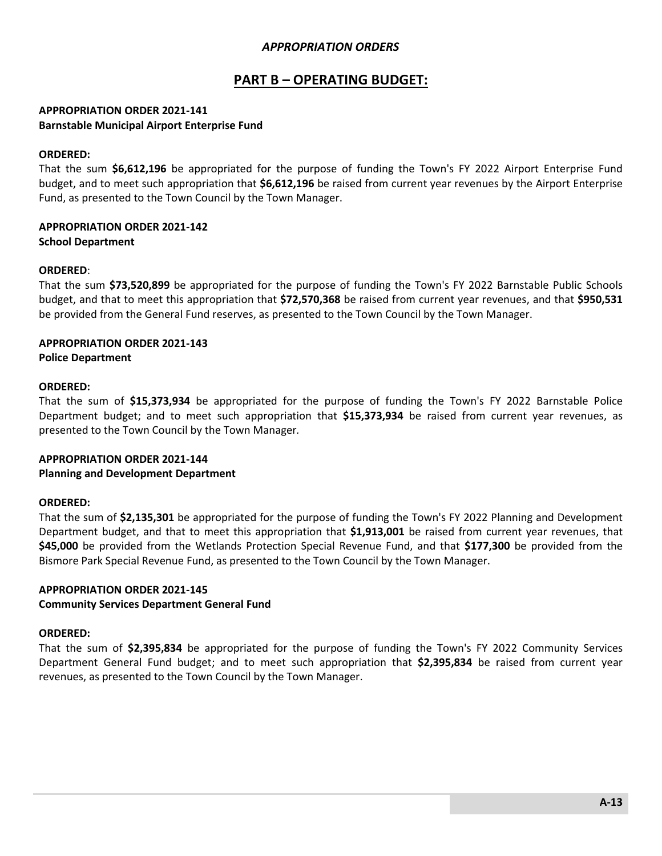# **PART B – OPERATING BUDGET:**

### **APPROPRIATION ORDER 2021-141 Barnstable Municipal Airport Enterprise Fund**

### **ORDERED:**

That the sum **\$6,612,196** be appropriated for the purpose of funding the Town's FY 2022 Airport Enterprise Fund budget, and to meet such appropriation that **\$6,612,196** be raised from current year revenues by the Airport Enterprise Fund, as presented to the Town Council by the Town Manager.

### **APPROPRIATION ORDER 2021-142 School Department**

#### **ORDERED**:

That the sum **\$73,520,899** be appropriated for the purpose of funding the Town's FY 2022 Barnstable Public Schools budget, and that to meet this appropriation that **\$72,570,368** be raised from current year revenues, and that **\$950,531** be provided from the General Fund reserves, as presented to the Town Council by the Town Manager.

# **APPROPRIATION ORDER 2021-143**

**Police Department**

#### **ORDERED:**

That the sum of **\$15,373,934** be appropriated for the purpose of funding the Town's FY 2022 Barnstable Police Department budget; and to meet such appropriation that **\$15,373,934** be raised from current year revenues, as presented to the Town Council by the Town Manager*.*

### **APPROPRIATION ORDER 2021-144**

### **Planning and Development Department**

#### **ORDERED:**

That the sum of **\$2,135,301** be appropriated for the purpose of funding the Town's FY 2022 Planning and Development Department budget, and that to meet this appropriation that **\$1,913,001** be raised from current year revenues, that **\$45,000** be provided from the Wetlands Protection Special Revenue Fund, and that **\$177,300** be provided from the Bismore Park Special Revenue Fund, as presented to the Town Council by the Town Manager.

# **APPROPRIATION ORDER 2021-145**

### **Community Services Department General Fund**

#### **ORDERED:**

That the sum of **\$2,395,834** be appropriated for the purpose of funding the Town's FY 2022 Community Services Department General Fund budget; and to meet such appropriation that **\$2,395,834** be raised from current year revenues, as presented to the Town Council by the Town Manager.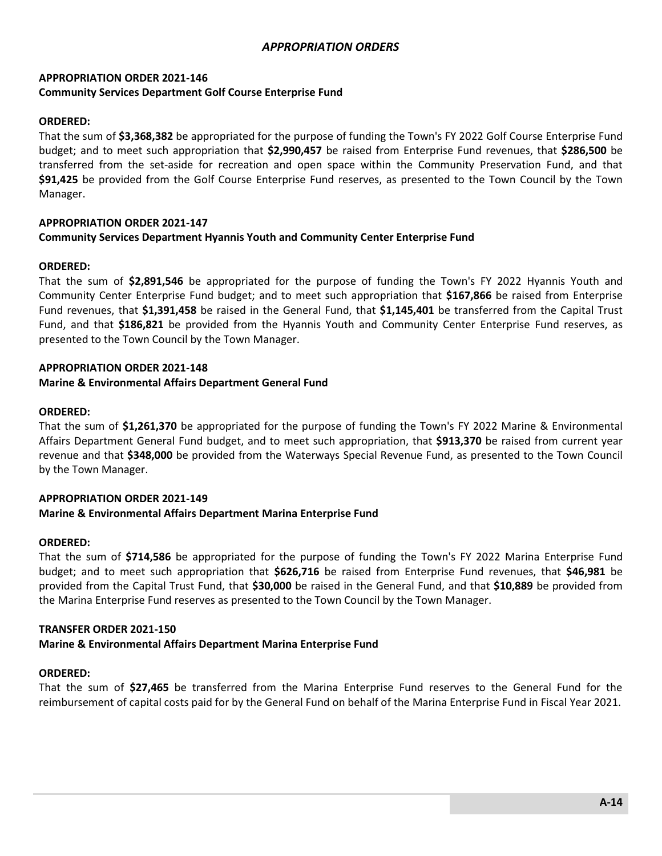### **APPROPRIATION ORDER 2021-146 Community Services Department Golf Course Enterprise Fund**

### **ORDERED:**

That the sum of **\$3,368,382** be appropriated for the purpose of funding the Town's FY 2022 Golf Course Enterprise Fund budget; and to meet such appropriation that **\$2,990,457** be raised from Enterprise Fund revenues, that **\$286,500** be transferred from the set-aside for recreation and open space within the Community Preservation Fund, and that **\$91,425** be provided from the Golf Course Enterprise Fund reserves, as presented to the Town Council by the Town Manager.

# **APPROPRIATION ORDER 2021-147**

### **Community Services Department Hyannis Youth and Community Center Enterprise Fund**

### **ORDERED:**

That the sum of **\$2,891,546** be appropriated for the purpose of funding the Town's FY 2022 Hyannis Youth and Community Center Enterprise Fund budget; and to meet such appropriation that **\$167,866** be raised from Enterprise Fund revenues, that **\$1,391,458** be raised in the General Fund, that **\$1,145,401** be transferred from the Capital Trust Fund, and that **\$186,821** be provided from the Hyannis Youth and Community Center Enterprise Fund reserves, as presented to the Town Council by the Town Manager.

### **APPROPRIATION ORDER 2021-148**

#### **Marine & Environmental Affairs Department General Fund**

#### **ORDERED:**

That the sum of **\$1,261,370** be appropriated for the purpose of funding the Town's FY 2022 Marine & Environmental Affairs Department General Fund budget, and to meet such appropriation, that **\$913,370** be raised from current year revenue and that **\$348,000** be provided from the Waterways Special Revenue Fund, as presented to the Town Council by the Town Manager.

# **APPROPRIATION ORDER 2021-149**

# **Marine & Environmental Affairs Department Marina Enterprise Fund**

### **ORDERED:**

That the sum of **\$714,586** be appropriated for the purpose of funding the Town's FY 2022 Marina Enterprise Fund budget; and to meet such appropriation that **\$626,716** be raised from Enterprise Fund revenues, that **\$46,981** be provided from the Capital Trust Fund, that **\$30,000** be raised in the General Fund, and that **\$10,889** be provided from the Marina Enterprise Fund reserves as presented to the Town Council by the Town Manager.

### **TRANSFER ORDER 2021-150**

### **Marine & Environmental Affairs Department Marina Enterprise Fund**

### **ORDERED:**

That the sum of **\$27,465** be transferred from the Marina Enterprise Fund reserves to the General Fund for the reimbursement of capital costs paid for by the General Fund on behalf of the Marina Enterprise Fund in Fiscal Year 2021.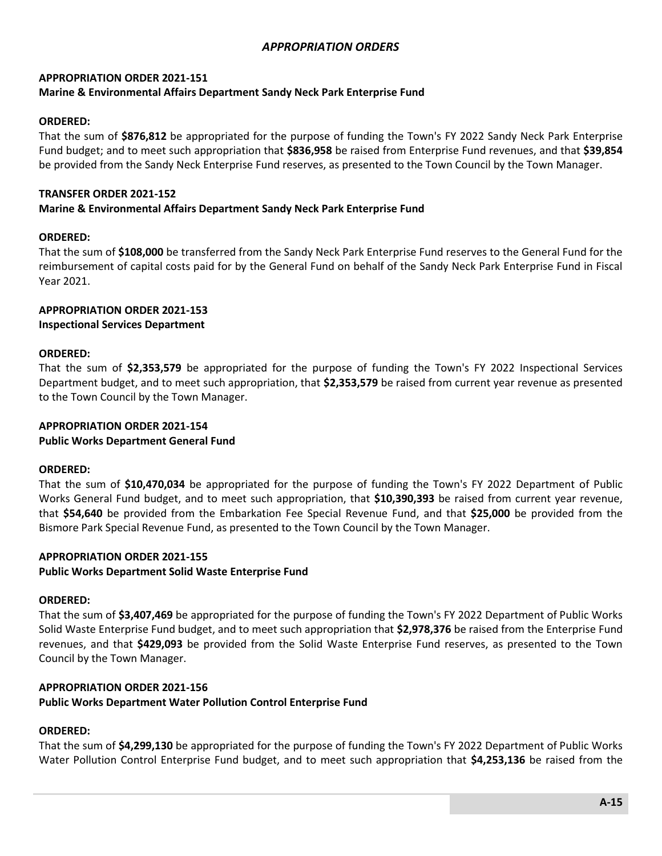### **APPROPRIATION ORDER 2021-151 Marine & Environmental Affairs Department Sandy Neck Park Enterprise Fund**

### **ORDERED:**

That the sum of **\$876,812** be appropriated for the purpose of funding the Town's FY 2022 Sandy Neck Park Enterprise Fund budget; and to meet such appropriation that **\$836,958** be raised from Enterprise Fund revenues, and that **\$39,854** be provided from the Sandy Neck Enterprise Fund reserves, as presented to the Town Council by the Town Manager.

### **TRANSFER ORDER 2021-152**

### **Marine & Environmental Affairs Department Sandy Neck Park Enterprise Fund**

### **ORDERED:**

That the sum of **\$108,000** be transferred from the Sandy Neck Park Enterprise Fund reserves to the General Fund for the reimbursement of capital costs paid for by the General Fund on behalf of the Sandy Neck Park Enterprise Fund in Fiscal Year 2021.

#### **APPROPRIATION ORDER 2021-153 Inspectional Services Department**

# **ORDERED:**

That the sum of **\$2,353,579** be appropriated for the purpose of funding the Town's FY 2022 Inspectional Services Department budget, and to meet such appropriation, that **\$2,353,579** be raised from current year revenue as presented to the Town Council by the Town Manager.

#### **APPROPRIATION ORDER 2021-154 Public Works Department General Fund**

### **ORDERED:**

That the sum of **\$10,470,034** be appropriated for the purpose of funding the Town's FY 2022 Department of Public Works General Fund budget, and to meet such appropriation, that **\$10,390,393** be raised from current year revenue, that **\$54,640** be provided from the Embarkation Fee Special Revenue Fund, and that **\$25,000** be provided from the Bismore Park Special Revenue Fund, as presented to the Town Council by the Town Manager.

#### **APPROPRIATION ORDER 2021-155 Public Works Department Solid Waste Enterprise Fund**

### **ORDERED:**

That the sum of **\$3,407,469** be appropriated for the purpose of funding the Town's FY 2022 Department of Public Works Solid Waste Enterprise Fund budget, and to meet such appropriation that **\$2,978,376** be raised from the Enterprise Fund revenues, and that **\$429,093** be provided from the Solid Waste Enterprise Fund reserves, as presented to the Town Council by the Town Manager.

### **APPROPRIATION ORDER 2021-156**

**Public Works Department Water Pollution Control Enterprise Fund**

### **ORDERED:**

That the sum of **\$4,299,130** be appropriated for the purpose of funding the Town's FY 2022 Department of Public Works Water Pollution Control Enterprise Fund budget, and to meet such appropriation that **\$4,253,136** be raised from the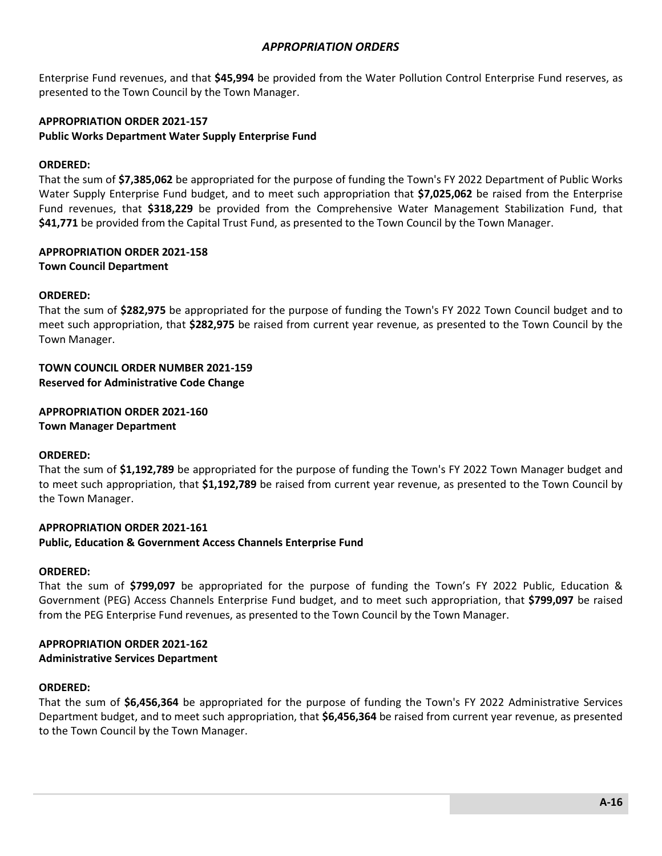Enterprise Fund revenues, and that **\$45,994** be provided from the Water Pollution Control Enterprise Fund reserves, as presented to the Town Council by the Town Manager.

# **APPROPRIATION ORDER 2021-157 Public Works Department Water Supply Enterprise Fund**

### **ORDERED:**

That the sum of **\$7,385,062** be appropriated for the purpose of funding the Town's FY 2022 Department of Public Works Water Supply Enterprise Fund budget, and to meet such appropriation that **\$7,025,062** be raised from the Enterprise Fund revenues, that **\$318,229** be provided from the Comprehensive Water Management Stabilization Fund, that **\$41,771** be provided from the Capital Trust Fund, as presented to the Town Council by the Town Manager.

#### **APPROPRIATION ORDER 2021-158 Town Council Department**

#### **ORDERED:**

That the sum of **\$282,975** be appropriated for the purpose of funding the Town's FY 2022 Town Council budget and to meet such appropriation, that **\$282,975** be raised from current year revenue, as presented to the Town Council by the Town Manager.

# **TOWN COUNCIL ORDER NUMBER 2021-159**

**Reserved for Administrative Code Change**

**APPROPRIATION ORDER 2021-160 Town Manager Department**

#### **ORDERED:**

That the sum of **\$1,192,789** be appropriated for the purpose of funding the Town's FY 2022 Town Manager budget and to meet such appropriation, that **\$1,192,789** be raised from current year revenue, as presented to the Town Council by the Town Manager.

### **APPROPRIATION ORDER 2021-161**

#### **Public, Education & Government Access Channels Enterprise Fund**

### **ORDERED:**

That the sum of **\$799,097** be appropriated for the purpose of funding the Town's FY 2022 Public, Education & Government (PEG) Access Channels Enterprise Fund budget, and to meet such appropriation, that **\$799,097** be raised from the PEG Enterprise Fund revenues, as presented to the Town Council by the Town Manager.

# **APPROPRIATION ORDER 2021-162**

### **Administrative Services Department**

### **ORDERED:**

That the sum of **\$6,456,364** be appropriated for the purpose of funding the Town's FY 2022 Administrative Services Department budget, and to meet such appropriation, that **\$6,456,364** be raised from current year revenue, as presented to the Town Council by the Town Manager.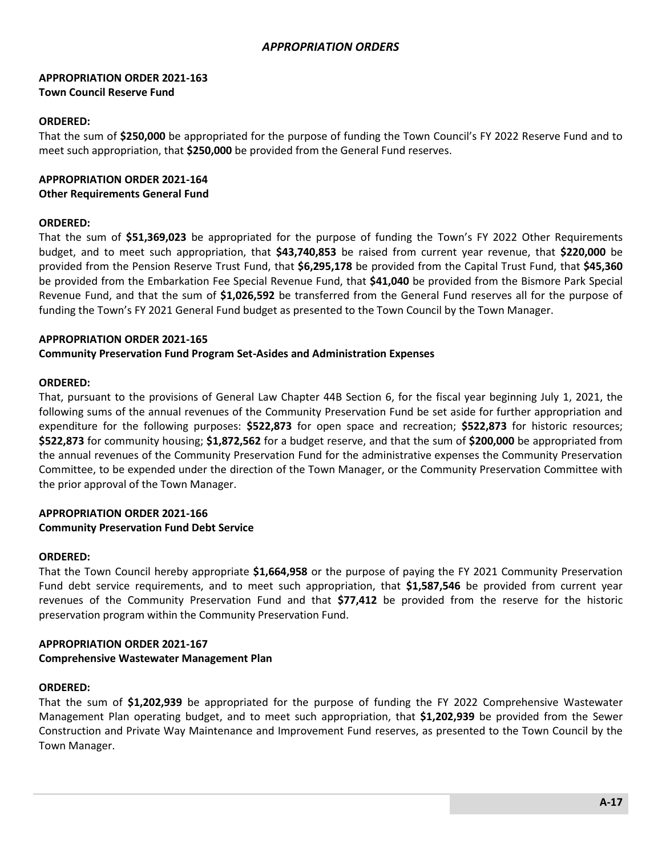### **APPROPRIATION ORDER 2021-163 Town Council Reserve Fund**

### **ORDERED:**

That the sum of **\$250,000** be appropriated for the purpose of funding the Town Council's FY 2022 Reserve Fund and to meet such appropriation, that **\$250,000** be provided from the General Fund reserves.

#### **APPROPRIATION ORDER 2021-164 Other Requirements General Fund**

#### **ORDERED:**

That the sum of **\$51,369,023** be appropriated for the purpose of funding the Town's FY 2022 Other Requirements budget, and to meet such appropriation, that **\$43,740,853** be raised from current year revenue, that **\$220,000** be provided from the Pension Reserve Trust Fund, that **\$6,295,178** be provided from the Capital Trust Fund, that **\$45,360** be provided from the Embarkation Fee Special Revenue Fund, that **\$41,040** be provided from the Bismore Park Special Revenue Fund, and that the sum of **\$1,026,592** be transferred from the General Fund reserves all for the purpose of funding the Town's FY 2021 General Fund budget as presented to the Town Council by the Town Manager.

### **APPROPRIATION ORDER 2021-165**

**Community Preservation Fund Program Set-Asides and Administration Expenses**

#### **ORDERED:**

That, pursuant to the provisions of General Law Chapter 44B Section 6, for the fiscal year beginning July 1, 2021, the following sums of the annual revenues of the Community Preservation Fund be set aside for further appropriation and expenditure for the following purposes: **\$522,873** for open space and recreation; **\$522,873** for historic resources; **\$522,873** for community housing; **\$1,872,562** for a budget reserve, and that the sum of **\$200,000** be appropriated from the annual revenues of the Community Preservation Fund for the administrative expenses the Community Preservation Committee, to be expended under the direction of the Town Manager, or the Community Preservation Committee with the prior approval of the Town Manager.

### **APPROPRIATION ORDER 2021-166 Community Preservation Fund Debt Service**

#### **ORDERED:**

That the Town Council hereby appropriate **\$1,664,958** or the purpose of paying the FY 2021 Community Preservation Fund debt service requirements, and to meet such appropriation, that **\$1,587,546** be provided from current year revenues of the Community Preservation Fund and that **\$77,412** be provided from the reserve for the historic preservation program within the Community Preservation Fund.

# **APPROPRIATION ORDER 2021-167**

### **Comprehensive Wastewater Management Plan**

### **ORDERED:**

That the sum of **\$1,202,939** be appropriated for the purpose of funding the FY 2022 Comprehensive Wastewater Management Plan operating budget, and to meet such appropriation, that **\$1,202,939** be provided from the Sewer Construction and Private Way Maintenance and Improvement Fund reserves, as presented to the Town Council by the Town Manager.